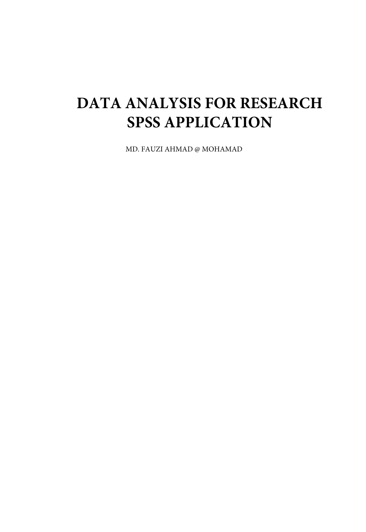## **DATA ANALYSIS FOR RESEARCH SPSS APPLICATION**

MD. FAUZI AHMAD @ MOHAMAD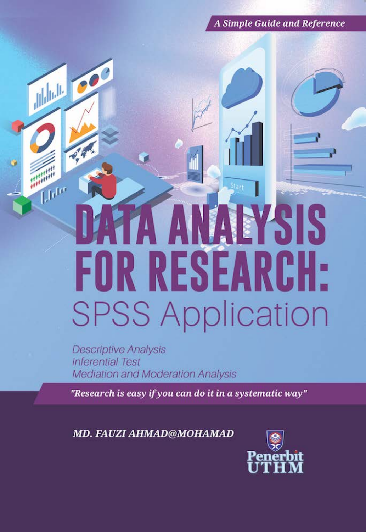**A Simple Guide and Reference** 

# EYSIS FOR RESEARCH: **SPSS Application**

**Descriptive Analysis Inferential Test Mediation and Moderation Analysis** 

Which you

 $\mathcal{L}_q$ 

**September**<br>1989

**Lldr** 

"Research is easy if you can do it in a systematic way"

MD. FAUZI AHMAD@MOHAMAD

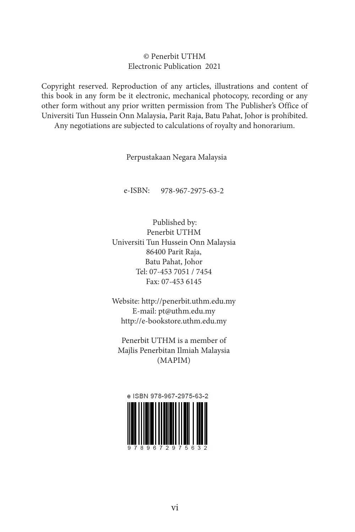#### © Penerbit UTHM Electronic Publication 2021

Copyright reserved. Reproduction of any articles, illustrations and content of this book in any form be it electronic, mechanical photocopy, recording or any other form without any prior written permission from The Publisher's Office of Universiti Tun Hussein Onn Malaysia, Parit Raja, Batu Pahat, Johor is prohibited. Any negotiations are subjected to calculations of royalty and honorarium.

Perpustakaan Negara Malaysia

e-ISBN: 978-967-2975-63-2

Published by: Penerbit UTHM Universiti Tun Hussein Onn Malaysia 86400 Parit Raja, Batu Pahat, Johor Tel: 07-453 7051 / 7454 Fax: 07-453 6145

Website: http://penerbit.uthm.edu.my E-mail: pt@uthm.edu.my http://e-bookstore.uthm.edu.my

Penerbit UTHM is a member of Majlis Penerbitan Ilmiah Malaysia (MAPIM)

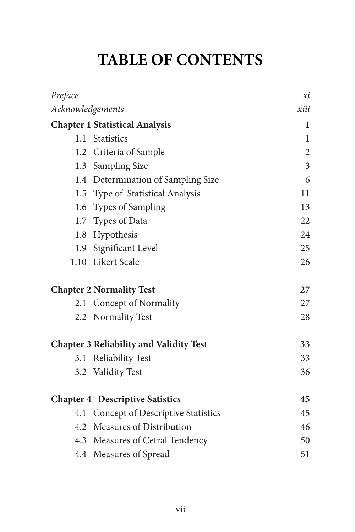#### **TABLE OF CONTENTS**

| Preface                                |                                                | хi             |
|----------------------------------------|------------------------------------------------|----------------|
| Acknowledgements                       |                                                | xiii           |
|                                        | <b>Chapter 1 Statistical Analysis</b>          | 1              |
|                                        | 1.1 Statistics                                 | $\mathbf{1}$   |
|                                        | 1.2 Criteria of Sample                         | $\overline{2}$ |
|                                        | 1.3 Sampling Size                              | $\overline{3}$ |
|                                        | 1.4 Determination of Sampling Size             | 6              |
|                                        | 1.5 Type of Statistical Analysis               | 11             |
|                                        | 1.6 Types of Sampling                          | 13             |
|                                        | 1.7 Types of Data                              | 22             |
|                                        | 1.8 Hypothesis                                 | 24             |
|                                        | 1.9 Significant Level                          | 25             |
|                                        | 1.10 Likert Scale                              | 26             |
| <b>Chapter 2 Normality Test</b>        |                                                | 27             |
|                                        | 2.1 Concept of Normality                       | 27             |
|                                        | 2.2 Normality Test                             | 28             |
|                                        | <b>Chapter 3 Reliability and Validity Test</b> | 33             |
| 3.1                                    | <b>Reliability Test</b>                        | 33             |
|                                        | 3.2 Validity Test                              | 36             |
| <b>Chapter 4 Descriptive Satistics</b> |                                                | 45             |
|                                        | 4.1 Concept of Descriptive Statistics          | 45             |
|                                        | 4.2 Measures of Distribution                   | 46             |
|                                        | 4.3 Measures of Cetral Tendency                | 50             |
|                                        | 4.4 Measures of Spread                         | 51             |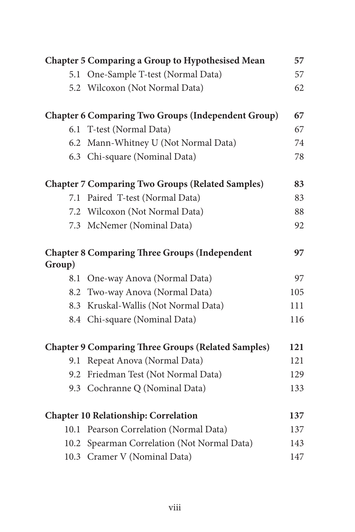|                                                           | <b>Chapter 5 Comparing a Group to Hypothesised Mean</b>   | 57  |
|-----------------------------------------------------------|-----------------------------------------------------------|-----|
|                                                           | 5.1 One-Sample T-test (Normal Data)                       | 57  |
|                                                           | 5.2 Wilcoxon (Not Normal Data)                            | 62  |
|                                                           | <b>Chapter 6 Comparing Two Groups (Independent Group)</b> | 67  |
|                                                           | 6.1 T-test (Normal Data)                                  | 67  |
|                                                           | 6.2 Mann-Whitney U (Not Normal Data)                      | 74  |
|                                                           | 6.3 Chi-square (Nominal Data)                             | 78  |
|                                                           | <b>Chapter 7 Comparing Two Groups (Related Samples)</b>   | 83  |
|                                                           | 7.1 Paired T-test (Normal Data)                           | 83  |
|                                                           | 7.2 Wilcoxon (Not Normal Data)                            | 88  |
|                                                           | 7.3 McNemer (Nominal Data)                                | 92  |
| Group)                                                    | <b>Chapter 8 Comparing Three Groups (Independent</b>      | 97  |
| 8.1                                                       | One-way Anova (Normal Data)                               | 97  |
|                                                           | 8.2 Two-way Anova (Normal Data)                           | 105 |
| 8.3                                                       | Kruskal-Wallis (Not Normal Data)                          | 111 |
|                                                           | 8.4 Chi-square (Nominal Data)                             | 116 |
| <b>Chapter 9 Comparing Three Groups (Related Samples)</b> |                                                           | 121 |
| 9.1                                                       | Repeat Anova (Normal Data)                                | 121 |
| 9.2                                                       | Friedman Test (Not Normal Data)                           | 129 |
|                                                           | 9.3 Cochranne Q (Nominal Data)                            | 133 |
| <b>Chapter 10 Relationship: Correlation</b>               |                                                           | 137 |
|                                                           | 10.1 Pearson Correlation (Normal Data)                    | 137 |
|                                                           | 10.2 Spearman Correlation (Not Normal Data)               | 143 |
|                                                           | 10.3 Cramer V (Nominal Data)                              | 147 |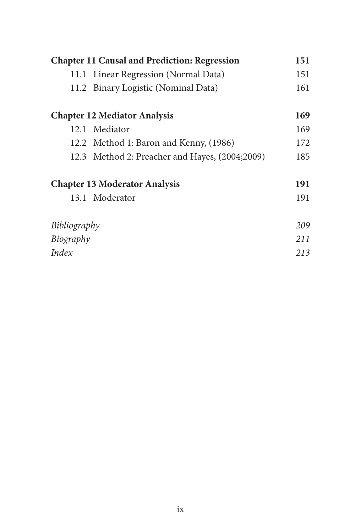| <b>Chapter 11 Causal and Prediction: Regression</b> |                                                | 151 |
|-----------------------------------------------------|------------------------------------------------|-----|
|                                                     | 11.1 Linear Regression (Normal Data)           | 151 |
|                                                     | 11.2 Binary Logistic (Nominal Data)            | 161 |
|                                                     | <b>Chapter 12 Mediator Analysis</b>            | 169 |
|                                                     | 12.1 Mediator                                  | 169 |
|                                                     | 12.2 Method 1: Baron and Kenny, (1986)         | 172 |
|                                                     | 12.3 Method 2: Preacher and Hayes, (2004;2009) | 185 |
| <b>Chapter 13 Moderator Analysis</b>                |                                                | 191 |
|                                                     | 13.1 Moderator                                 | 191 |
| Bibliography                                        |                                                | 209 |
| Biography                                           |                                                | 211 |
| Index                                               |                                                | 213 |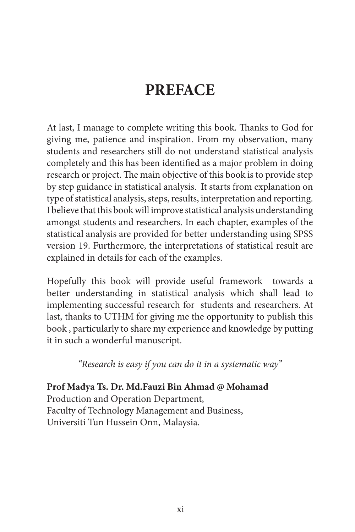#### **PREFACE**

At last, I manage to complete writing this book. Thanks to God for giving me, patience and inspiration. From my observation, many students and researchers still do not understand statistical analysis completely and this has been identified as a major problem in doing research or project. The main objective of this book is to provide step by step guidance in statistical analysis. It starts from explanation on type of statistical analysis, steps, results, interpretation and reporting. I believe that this book will improve statistical analysis understanding amongst students and researchers. In each chapter, examples of the statistical analysis are provided for better understanding using SPSS version 19. Furthermore, the interpretations of statistical result are explained in details for each of the examples.

Hopefully this book will provide useful framework towards a better understanding in statistical analysis which shall lead to implementing successful research for students and researchers. At last, thanks to UTHM for giving me the opportunity to publish this book , particularly to share my experience and knowledge by putting it in such a wonderful manuscript.

*"Research is easy if you can do it in a systematic way"*

**Prof Madya Ts. Dr. Md.Fauzi Bin Ahmad @ Mohamad** Production and Operation Department, Faculty of Technology Management and Business, Universiti Tun Hussein Onn, Malaysia.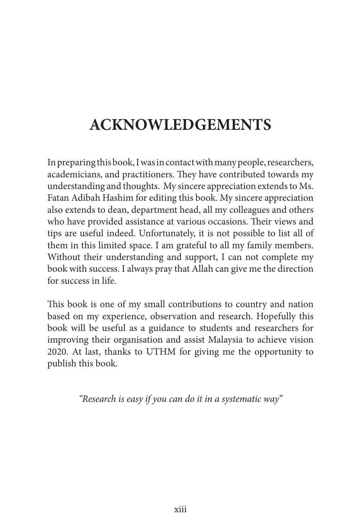#### **ACKNOWLEDGEMENTS**

In preparing this book, I was in contact with many people, researchers, academicians, and practitioners. They have contributed towards my understanding and thoughts. My sincere appreciation extends to Ms. Fatan Adibah Hashim for editing this book. My sincere appreciation also extends to dean, department head, all my colleagues and others who have provided assistance at various occasions. Their views and tips are useful indeed. Unfortunately, it is not possible to list all of them in this limited space. I am grateful to all my family members. Without their understanding and support, I can not complete my book with success. I always pray that Allah can give me the direction for success in life.

This book is one of my small contributions to country and nation based on my experience, observation and research. Hopefully this book will be useful as a guidance to students and researchers for improving their organisation and assist Malaysia to achieve vision 2020. At last, thanks to UTHM for giving me the opportunity to publish this book.

*"Research is easy if you can do it in a systematic way"*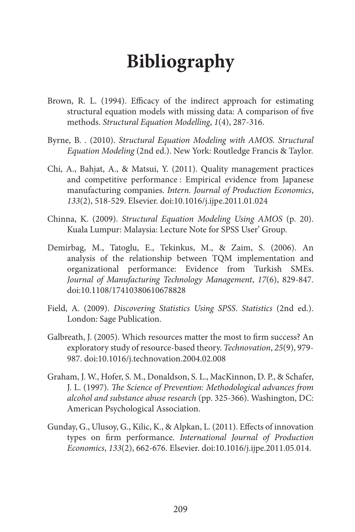### **Bibliography**

- Brown, R. L. (1994). Efficacy of the indirect approach for estimating structural equation models with missing data: A comparison of five methods. *Structural Equation Modelling*, *1*(4), 287-316.
- Byrne, B. . (2010). *Structural Equation Modeling with AMOS*. *Structural Equation Modeling* (2nd ed.). New York: Routledge Francis & Taylor.
- Chi, A., Bahjat, A., & Matsui, Y. (2011). Quality management practices and competitive performance : Empirical evidence from Japanese manufacturing companies. *Intern. Journal of Production Economics*, *133*(2), 518-529. Elsevier. doi:10.1016/j.ijpe.2011.01.024
- Chinna, K. (2009). *Structural Equation Modeling Using AMOS* (p. 20). Kuala Lumpur: Malaysia: Lecture Note for SPSS User' Group.
- Demirbag, M., Tatoglu, E., Tekinkus, M., & Zaim, S. (2006). An analysis of the relationship between TQM implementation and organizational performance: Evidence from Turkish SMEs. *Journal of Manufacturing Technology Management*, *17*(6), 829-847. doi:10.1108/17410380610678828
- Field, A. (2009). *Discovering Statistics Using SPSS*. *Statistics* (2nd ed.). London: Sage Publication.
- Galbreath, J. (2005). Which resources matter the most to firm success? An exploratory study of resource-based theory. *Technovation*, *25*(9), 979- 987. doi:10.1016/j.technovation.2004.02.008
- Graham, J. W., Hofer, S. M., Donaldson, S. L., MacKinnon, D. P., & Schafer, J. L. (1997). *The Science of Prevention: Methodological advances from alcohol and substance abuse research* (pp. 325-366). Washington, DC: American Psychological Association.
- Gunday, G., Ulusoy, G., Kilic, K., & Alpkan, L. (2011). Effects of innovation types on firm performance. *International Journal of Production Economics*, *133*(2), 662-676. Elsevier. doi:10.1016/j.ijpe.2011.05.014.